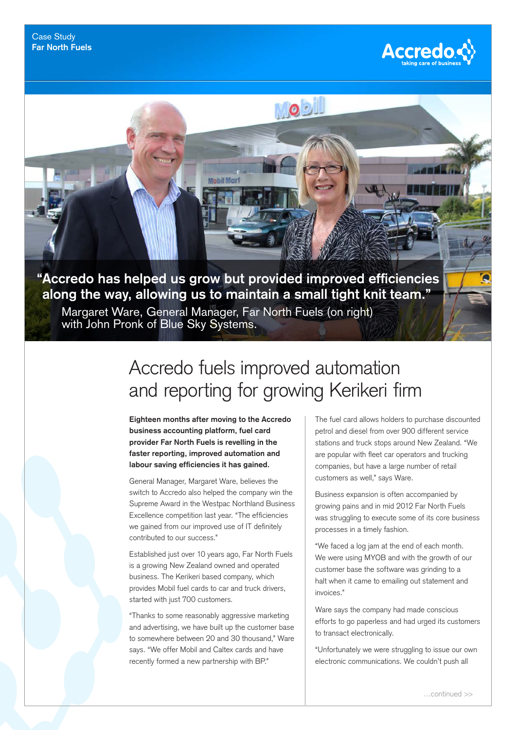

**"Accredo has helped us grow but provided improved efficiencies along the way, allowing us to maintain a small tight knit team."**

Margaret Ware, General Manager, Far North Fuels (on right) with John Pronk of Blue Sky Systems.

Mobil Mar

## Accredo fuels improved automation and reporting for growing Kerikeri firm

NOS

**Eighteen months after moving to the Accredo business accounting platform, fuel card provider Far North Fuels is revelling in the faster reporting, improved automation and labour saving efficiencies it has gained.** 

General Manager, Margaret Ware, believes the switch to Accredo also helped the company win the Supreme Award in the Westpac Northland Business Excellence competition last year. "The efficiencies we gained from our improved use of IT definitely contributed to our success."

Established just over 10 years ago, Far North Fuels is a growing New Zealand owned and operated business. The Kerikeri based company, which provides Mobil fuel cards to car and truck drivers, started with just 700 customers.

"Thanks to some reasonably aggressive marketing and advertising, we have built up the customer base to somewhere between 20 and 30 thousand," Ware says. "We offer Mobil and Caltex cards and have recently formed a new partnership with BP."

The fuel card allows holders to purchase discounted petrol and diesel from over 900 different service stations and truck stops around New Zealand. "We are popular with fleet car operators and trucking companies, but have a large number of retail customers as well," says Ware.

Business expansion is often accompanied by growing pains and in mid 2012 Far North Fuels was struggling to execute some of its core business processes in a timely fashion.

"We faced a log jam at the end of each month. We were using MYOB and with the growth of our customer base the software was grinding to a halt when it came to emailing out statement and invoices."

Ware says the company had made conscious efforts to go paperless and had urged its customers to transact electronically.

"Unfortunately we were struggling to issue our own electronic communications. We couldn't push all